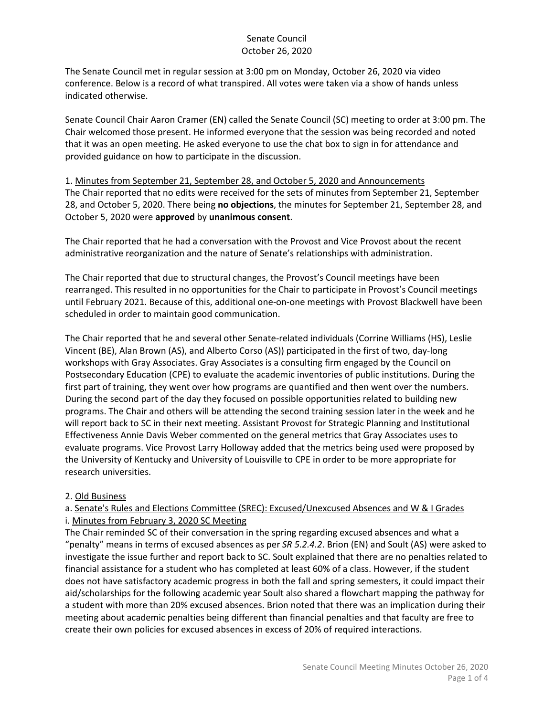The Senate Council met in regular session at 3:00 pm on Monday, October 26, 2020 via video conference. Below is a record of what transpired. All votes were taken via a show of hands unless indicated otherwise.

Senate Council Chair Aaron Cramer (EN) called the Senate Council (SC) meeting to order at 3:00 pm. The Chair welcomed those present. He informed everyone that the session was being recorded and noted that it was an open meeting. He asked everyone to use the chat box to sign in for attendance and provided guidance on how to participate in the discussion.

1. Minutes from September 21, September 28, and October 5, 2020 and Announcements The Chair reported that no edits were received for the sets of minutes from September 21, September 28, and October 5, 2020. There being **no objections**, the minutes for September 21, September 28, and October 5, 2020 were **approved** by **unanimous consent**.

The Chair reported that he had a conversation with the Provost and Vice Provost about the recent administrative reorganization and the nature of Senate's relationships with administration.

The Chair reported that due to structural changes, the Provost's Council meetings have been rearranged. This resulted in no opportunities for the Chair to participate in Provost's Council meetings until February 2021. Because of this, additional one-on-one meetings with Provost Blackwell have been scheduled in order to maintain good communication.

The Chair reported that he and several other Senate-related individuals (Corrine Williams (HS), Leslie Vincent (BE), Alan Brown (AS), and Alberto Corso (AS)) participated in the first of two, day-long workshops with Gray Associates. Gray Associates is a consulting firm engaged by the Council on Postsecondary Education (CPE) to evaluate the academic inventories of public institutions. During the first part of training, they went over how programs are quantified and then went over the numbers. During the second part of the day they focused on possible opportunities related to building new programs. The Chair and others will be attending the second training session later in the week and he will report back to SC in their next meeting. Assistant Provost for Strategic Planning and Institutional Effectiveness Annie Davis Weber commented on the general metrics that Gray Associates uses to evaluate programs. Vice Provost Larry Holloway added that the metrics being used were proposed by the University of Kentucky and University of Louisville to CPE in order to be more appropriate for research universities.

#### 2. Old Business

#### a. Senate's Rules and Elections Committee (SREC): Excused/Unexcused Absences and W & I Grades i. Minutes from February 3, 2020 SC Meeting

The Chair reminded SC of their conversation in the spring regarding excused absences and what a "penalty" means in terms of excused absences as per *SR 5.2.4.2*. Brion (EN) and Soult (AS) were asked to investigate the issue further and report back to SC. Soult explained that there are no penalties related to financial assistance for a student who has completed at least 60% of a class. However, if the student does not have satisfactory academic progress in both the fall and spring semesters, it could impact their aid/scholarships for the following academic year Soult also shared a flowchart mapping the pathway for a student with more than 20% excused absences. Brion noted that there was an implication during their meeting about academic penalties being different than financial penalties and that faculty are free to create their own policies for excused absences in excess of 20% of required interactions.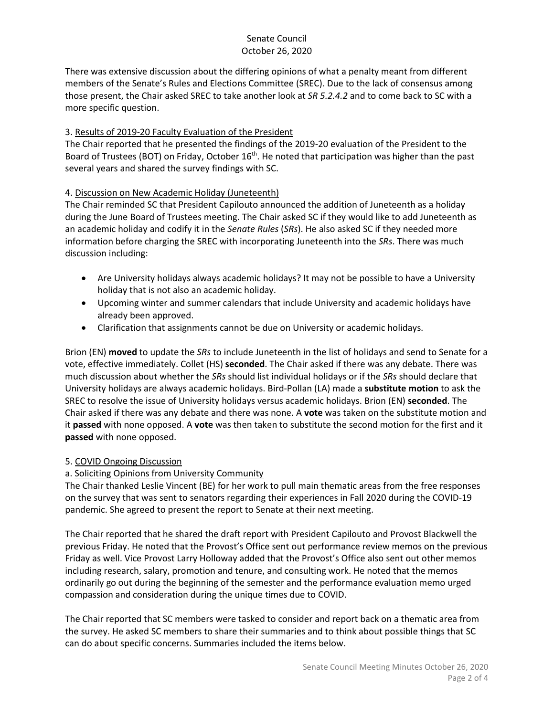There was extensive discussion about the differing opinions of what a penalty meant from different members of the Senate's Rules and Elections Committee (SREC). Due to the lack of consensus among those present, the Chair asked SREC to take another look at *SR 5.2.4.2* and to come back to SC with a more specific question.

# 3. Results of 2019-20 Faculty Evaluation of the President

The Chair reported that he presented the findings of the 2019-20 evaluation of the President to the Board of Trustees (BOT) on Friday, October 16<sup>th</sup>. He noted that participation was higher than the past several years and shared the survey findings with SC.

#### 4. Discussion on New Academic Holiday (Juneteenth)

The Chair reminded SC that President Capilouto announced the addition of Juneteenth as a holiday during the June Board of Trustees meeting. The Chair asked SC if they would like to add Juneteenth as an academic holiday and codify it in the *Senate Rules* (*SRs*). He also asked SC if they needed more information before charging the SREC with incorporating Juneteenth into the *SRs*. There was much discussion including:

- Are University holidays always academic holidays? It may not be possible to have a University holiday that is not also an academic holiday.
- Upcoming winter and summer calendars that include University and academic holidays have already been approved.
- Clarification that assignments cannot be due on University or academic holidays.

Brion (EN) **moved** to update the *SRs* to include Juneteenth in the list of holidays and send to Senate for a vote, effective immediately. Collet (HS) **seconded**. The Chair asked if there was any debate. There was much discussion about whether the *SRs* should list individual holidays or if the *SRs* should declare that University holidays are always academic holidays. Bird-Pollan (LA) made a **substitute motion** to ask the SREC to resolve the issue of University holidays versus academic holidays. Brion (EN) **seconded**. The Chair asked if there was any debate and there was none. A **vote** was taken on the substitute motion and it **passed** with none opposed. A **vote** was then taken to substitute the second motion for the first and it **passed** with none opposed.

#### 5. COVID Ongoing Discussion

# a. Soliciting Opinions from University Community

The Chair thanked Leslie Vincent (BE) for her work to pull main thematic areas from the free responses on the survey that was sent to senators regarding their experiences in Fall 2020 during the COVID-19 pandemic. She agreed to present the report to Senate at their next meeting.

The Chair reported that he shared the draft report with President Capilouto and Provost Blackwell the previous Friday. He noted that the Provost's Office sent out performance review memos on the previous Friday as well. Vice Provost Larry Holloway added that the Provost's Office also sent out other memos including research, salary, promotion and tenure, and consulting work. He noted that the memos ordinarily go out during the beginning of the semester and the performance evaluation memo urged compassion and consideration during the unique times due to COVID.

The Chair reported that SC members were tasked to consider and report back on a thematic area from the survey. He asked SC members to share their summaries and to think about possible things that SC can do about specific concerns. Summaries included the items below.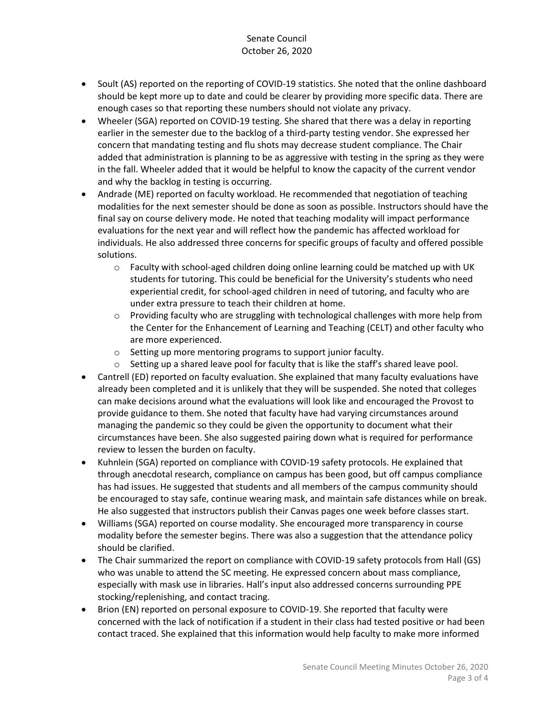- Soult (AS) reported on the reporting of COVID-19 statistics. She noted that the online dashboard should be kept more up to date and could be clearer by providing more specific data. There are enough cases so that reporting these numbers should not violate any privacy.
- Wheeler (SGA) reported on COVID-19 testing. She shared that there was a delay in reporting earlier in the semester due to the backlog of a third-party testing vendor. She expressed her concern that mandating testing and flu shots may decrease student compliance. The Chair added that administration is planning to be as aggressive with testing in the spring as they were in the fall. Wheeler added that it would be helpful to know the capacity of the current vendor and why the backlog in testing is occurring.
- Andrade (ME) reported on faculty workload. He recommended that negotiation of teaching modalities for the next semester should be done as soon as possible. Instructors should have the final say on course delivery mode. He noted that teaching modality will impact performance evaluations for the next year and will reflect how the pandemic has affected workload for individuals. He also addressed three concerns for specific groups of faculty and offered possible solutions.
	- $\circ$  Faculty with school-aged children doing online learning could be matched up with UK students for tutoring. This could be beneficial for the University's students who need experiential credit, for school-aged children in need of tutoring, and faculty who are under extra pressure to teach their children at home.
	- $\circ$  Providing faculty who are struggling with technological challenges with more help from the Center for the Enhancement of Learning and Teaching (CELT) and other faculty who are more experienced.
	- o Setting up more mentoring programs to support junior faculty.
	- $\circ$  Setting up a shared leave pool for faculty that is like the staff's shared leave pool.
- Cantrell (ED) reported on faculty evaluation. She explained that many faculty evaluations have already been completed and it is unlikely that they will be suspended. She noted that colleges can make decisions around what the evaluations will look like and encouraged the Provost to provide guidance to them. She noted that faculty have had varying circumstances around managing the pandemic so they could be given the opportunity to document what their circumstances have been. She also suggested pairing down what is required for performance review to lessen the burden on faculty.
- Kuhnlein (SGA) reported on compliance with COVID-19 safety protocols. He explained that through anecdotal research, compliance on campus has been good, but off campus compliance has had issues. He suggested that students and all members of the campus community should be encouraged to stay safe, continue wearing mask, and maintain safe distances while on break. He also suggested that instructors publish their Canvas pages one week before classes start.
- Williams (SGA) reported on course modality. She encouraged more transparency in course modality before the semester begins. There was also a suggestion that the attendance policy should be clarified.
- The Chair summarized the report on compliance with COVID-19 safety protocols from Hall (GS) who was unable to attend the SC meeting. He expressed concern about mass compliance, especially with mask use in libraries. Hall's input also addressed concerns surrounding PPE stocking/replenishing, and contact tracing.
- Brion (EN) reported on personal exposure to COVID-19. She reported that faculty were concerned with the lack of notification if a student in their class had tested positive or had been contact traced. She explained that this information would help faculty to make more informed